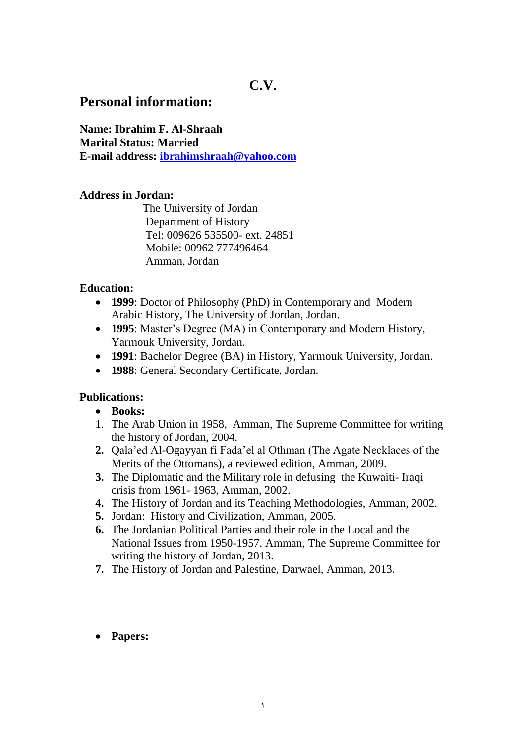# **Personal information:**

**Name: Ibrahim F. Al-Shraah Marital Status: Married E-mail address: [ibrahimshraah@yahoo.com](mailto:ibrahimshraah@yahoo.com)**

## **Address in Jordan:**

 The University of Jordan Department of History Tel: 009626 535500- ext. 24851 Mobile: 00962 777496464 Amman, Jordan

## **Education:**

- **1999**: Doctor of Philosophy (PhD) in Contemporary and Modern Arabic History, The University of Jordan, Jordan.
- **1995**: Master's Degree (MA) in Contemporary and Modern History, Yarmouk University, Jordan.
- **1991**: Bachelor Degree (BA) in History, Yarmouk University, Jordan.
- **1988**: General Secondary Certificate, Jordan.

# **Publications:**

- **Books:**
- 1. The Arab Union in 1958, Amman, The Supreme Committee for writing the history of Jordan, 2004.
- **2.** Qala'ed Al-Ogayyan fi Fada'el al Othman (The Agate Necklaces of the Merits of the Ottomans), a reviewed edition, Amman, 2009.
- **3.** The Diplomatic and the Military role in defusing the Kuwaiti- Iraqi crisis from 1961- 1963, Amman, 2002.
- **4.** The History of Jordan and its Teaching Methodologies, Amman, 2002.
- **5.** Jordan: History and Civilization, Amman, 2005.
- **6.** The Jordanian Political Parties and their role in the Local and the National Issues from 1950-1957. Amman, The Supreme Committee for writing the history of Jordan, 2013.
- **7.** The History of Jordan and Palestine, Darwael, Amman, 2013.
- **Papers:**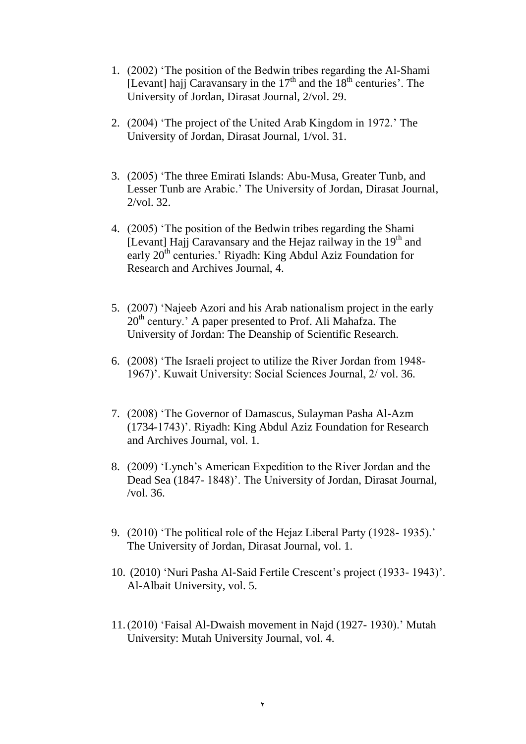- 1. (2002) 'The position of the Bedwin tribes regarding the Al-Shami [Levant] hajj Caravansary in the  $17<sup>th</sup>$  and the  $18<sup>th</sup>$  centuries'. The University of Jordan, Dirasat Journal, 2/vol. 29.
- 2. (2004) 'The project of the United Arab Kingdom in 1972.' The University of Jordan, Dirasat Journal, 1/vol. 31.
- 3. (2005) 'The three Emirati Islands: Abu-Musa, Greater Tunb, and Lesser Tunb are Arabic.' The University of Jordan, Dirasat Journal, 2/vol. 32.
- 4. (2005) 'The position of the Bedwin tribes regarding the Shami [Levant] Hajj Caravansary and the Hejaz railway in the  $19<sup>th</sup>$  and early 20<sup>th</sup> centuries.' Riyadh: King Abdul Aziz Foundation for Research and Archives Journal, 4.
- 5. (2007) 'Najeeb Azori and his Arab nationalism project in the early  $20<sup>th</sup>$  century.' A paper presented to Prof. Ali Mahafza. The University of Jordan: The Deanship of Scientific Research.
- 6. (2008) 'The Israeli project to utilize the River Jordan from 1948- 1967)'. Kuwait University: Social Sciences Journal, 2/ vol. 36.
- 7. (2008) 'The Governor of Damascus, Sulayman Pasha Al-Azm (1734-1743)'. Riyadh: King Abdul Aziz Foundation for Research and Archives Journal, vol. 1.
- 8. (2009) 'Lynch's American Expedition to the River Jordan and the Dead Sea (1847- 1848)'. The University of Jordan, Dirasat Journal, /vol. 36.
- 9. (2010) 'The political role of the Hejaz Liberal Party (1928- 1935).' The University of Jordan, Dirasat Journal, vol. 1.
- 10. (2010) 'Nuri Pasha Al-Said Fertile Crescent's project (1933- 1943)'. Al-Albait University, vol. 5.
- 11.(2010) 'Faisal Al-Dwaish movement in Najd (1927- 1930).' Mutah University: Mutah University Journal, vol. 4.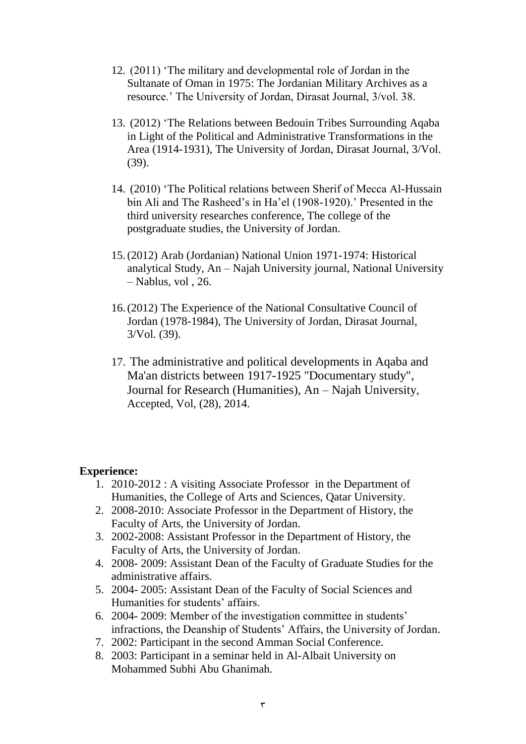- 12. (2011) 'The military and developmental role of Jordan in the Sultanate of Oman in 1975: The Jordanian Military Archives as a resource.' The University of Jordan, Dirasat Journal, 3/vol. 38.
- 13. (2012) 'The Relations between Bedouin Tribes Surrounding Aqaba in Light of the Political and Administrative Transformations in the Area (1914-1931), The University of Jordan, Dirasat Journal, 3/Vol. (39).
- 14. (2010) 'The Political relations between Sherif of Mecca Al-Hussain bin Ali and The Rasheed's in Ha'el (1908-1920).' Presented in the third university researches conference, The college of the postgraduate studies, the University of Jordan.
- 15.(2012) Arab (Jordanian) National Union 1971-1974: Historical analytical Study, An – Najah University journal, National University – Nablus, vol , 26.
- 16.(2012) The Experience of the National Consultative Council of Jordan (1978-1984), The University of Jordan, Dirasat Journal, 3/Vol. (39).
- 17. The administrative and political developments in Aqaba and Ma'an districts between 1917-1925 "Documentary study", Journal for Research (Humanities), An – Najah University, Accepted, Vol, (28), 2014.

### **Experience:**

- 1. 2010-2012 : A visiting Associate Professor in the Department of Humanities, the College of Arts and Sciences, Qatar University.
- 2. 2008-2010: Associate Professor in the Department of History, the Faculty of Arts, the University of Jordan.
- 3. 2002-2008: Assistant Professor in the Department of History, the Faculty of Arts, the University of Jordan.
- 4. 2008- 2009: Assistant Dean of the Faculty of Graduate Studies for the administrative affairs.
- 5. 2004- 2005: Assistant Dean of the Faculty of Social Sciences and Humanities for students' affairs.
- 6. 2004- 2009: Member of the investigation committee in students' infractions, the Deanship of Students' Affairs, the University of Jordan.
- 7. 2002: Participant in the second Amman Social Conference.
- 8. 2003: Participant in a seminar held in Al-Albait University on Mohammed Subhi Abu Ghanimah.